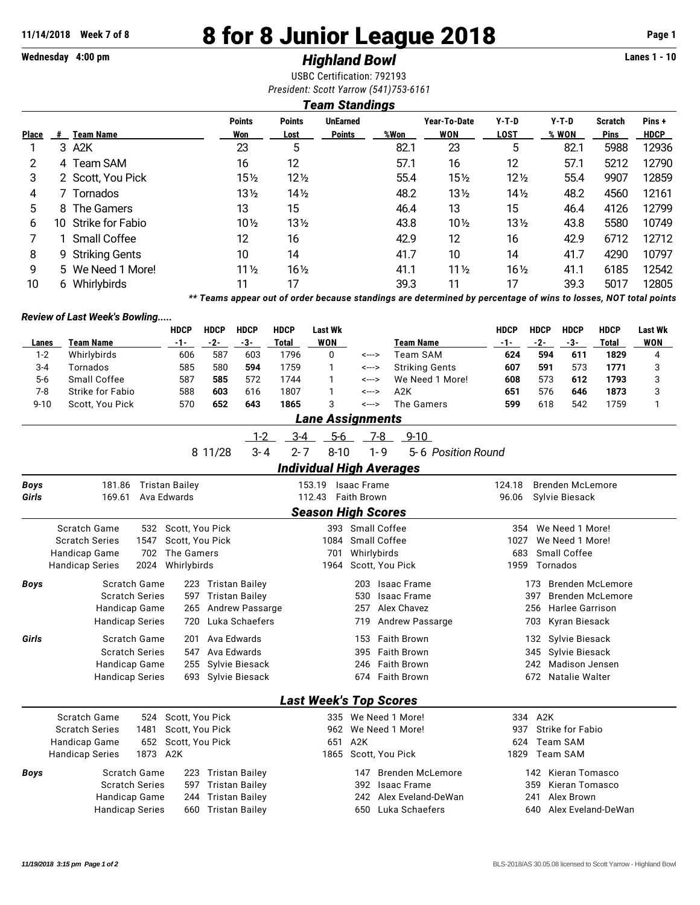## **11/14/2018 Week 7 of 8 8 for 8 Junior League 2018 Page 1**

## **Wednesday 4:00 pm** *Highland Bowl* **Lanes 1 - 10**

USBC Certification: 792193

| Points | <b>UnFarned</b>                       | Vear-To-Date | Y-T-D | Y-T-D | Scratch | Pins + |  |
|--------|---------------------------------------|--------------|-------|-------|---------|--------|--|
|        | <b>Team Standings</b>                 |              |       |       |         |        |  |
|        | President: Scott Yarrow (541)753-6161 |              |       |       |         |        |  |
|        | USBC Certification: 792193            |              |       |       |         |        |  |

|              |     |                   | <b>Points</b>   | <b>Points</b>   | <b>UnEarned</b> |      | Year-To-Date    | Y-T-D           | Y-T-D | <b>Scratch</b> | Pins+       |
|--------------|-----|-------------------|-----------------|-----------------|-----------------|------|-----------------|-----------------|-------|----------------|-------------|
| <b>Place</b> | #   | <b>Team Name</b>  | Won             | Lost            | <b>Points</b>   | %Won | WON             | LOST            | % WON | <b>Pins</b>    | <b>HDCP</b> |
|              |     | 3 A2K             | 23              | 5               |                 | 82.1 | 23              | 5               | 82.1  | 5988           | 12936       |
|              |     | 4 Team SAM        | 16              | 12              |                 | 57.1 | 16              | 12              | 57.1  | 5212           | 12790       |
| 3            |     | 2 Scott, You Pick | 15½             | $12\frac{1}{2}$ |                 | 55.4 | $15\frac{1}{2}$ | $12\frac{1}{2}$ | 55.4  | 9907           | 12859       |
| 4            |     | Tornados          | 13½             | $14\frac{1}{2}$ |                 | 48.2 | $13\frac{1}{2}$ | $14\frac{1}{2}$ | 48.2  | 4560           | 12161       |
| 5            |     | 8 The Gamers      | 13              | 15              |                 | 46.4 | 13              | 15              | 46.4  | 4126           | 12799       |
| 6            | 10. | Strike for Fabio  | $10\%$          | $13\frac{1}{2}$ |                 | 43.8 | $10\%$          | $13\frac{1}{2}$ | 43.8  | 5580           | 10749       |
|              |     | Small Coffee      | 12              | 16              |                 | 42.9 | 12 <sup>°</sup> | 16              | 42.9  | 6712           | 12712       |
| 8            |     | 9 Striking Gents  | 10              | 14              |                 | 41.7 | 10              | 14              | 41.7  | 4290           | 10797       |
| 9            |     | 5 We Need 1 More! | $11\frac{1}{2}$ | $16\frac{1}{2}$ |                 | 41.1 | $11\frac{1}{2}$ | $16\frac{1}{2}$ | 41.1  | 6185           | 12542       |
| 10           | 6.  | Whirlybirds       |                 | 17              |                 | 39.3 | 11              | 17              | 39.3  | 5017           | 12805       |

*\*\* Teams appear out of order because standings are determined by percentage of wins to losses, NOT total points*

## *Review of Last Week's Bowling.....*

|             |                                | <b>HDCP</b>                                                                                                                                                                                                                                                                                                                                                                                                                                                                                                                                                                                                                                                                                                                                                                                                                                                                                                                                                                                                                                                                                                                                                                                                                                                                                                                                                                                                                                                                                                                                                                                                                | <b>HDCP</b> | <b>HDCP</b> | <b>HDCP</b> | <b>Last Wk</b>          |       |         |                       | <b>HDCP</b> | <b>HDCP</b> | <b>HDCP</b> | <b>HDCP</b>  | <b>Last Wk</b> |
|-------------|--------------------------------|----------------------------------------------------------------------------------------------------------------------------------------------------------------------------------------------------------------------------------------------------------------------------------------------------------------------------------------------------------------------------------------------------------------------------------------------------------------------------------------------------------------------------------------------------------------------------------------------------------------------------------------------------------------------------------------------------------------------------------------------------------------------------------------------------------------------------------------------------------------------------------------------------------------------------------------------------------------------------------------------------------------------------------------------------------------------------------------------------------------------------------------------------------------------------------------------------------------------------------------------------------------------------------------------------------------------------------------------------------------------------------------------------------------------------------------------------------------------------------------------------------------------------------------------------------------------------------------------------------------------------|-------------|-------------|-------------|-------------------------|-------|---------|-----------------------|-------------|-------------|-------------|--------------|----------------|
| Lanes       | <b>Team Name</b>               | $-1-$                                                                                                                                                                                                                                                                                                                                                                                                                                                                                                                                                                                                                                                                                                                                                                                                                                                                                                                                                                                                                                                                                                                                                                                                                                                                                                                                                                                                                                                                                                                                                                                                                      | $-2-$       | $-3-$       | Total       | <b>WON</b>              |       |         | <b>Team Name</b>      | $-1-$       | $-2-$       | $-3-$       | <b>Total</b> | <b>WON</b>     |
| $1 - 2$     | Whirlybirds                    | 606                                                                                                                                                                                                                                                                                                                                                                                                                                                                                                                                                                                                                                                                                                                                                                                                                                                                                                                                                                                                                                                                                                                                                                                                                                                                                                                                                                                                                                                                                                                                                                                                                        | 587         | 603         | 1796        | 0                       | <---> |         | <b>Team SAM</b>       | 624         | 594         | 611         | 1829         | 4              |
| $3 - 4$     | Tornados                       | 585                                                                                                                                                                                                                                                                                                                                                                                                                                                                                                                                                                                                                                                                                                                                                                                                                                                                                                                                                                                                                                                                                                                                                                                                                                                                                                                                                                                                                                                                                                                                                                                                                        | 580         | 594         | 1759        | 1                       | <---> |         | <b>Striking Gents</b> | 607         | 591         | 573         | 1771         | 3              |
| $5-6$       | Small Coffee                   | 587                                                                                                                                                                                                                                                                                                                                                                                                                                                                                                                                                                                                                                                                                                                                                                                                                                                                                                                                                                                                                                                                                                                                                                                                                                                                                                                                                                                                                                                                                                                                                                                                                        | 585         | 572         | 1744        | 1                       | <---> |         | We Need 1 More!       | 608         | 573         | 612         | 1793         | 3              |
| $7 - 8$     | Strike for Fabio               | 588                                                                                                                                                                                                                                                                                                                                                                                                                                                                                                                                                                                                                                                                                                                                                                                                                                                                                                                                                                                                                                                                                                                                                                                                                                                                                                                                                                                                                                                                                                                                                                                                                        | 603         | 616         | 1807        | $\mathbf{1}$            | <---> |         | A2K                   | 651         | 576         | 646         | 1873         | 3              |
| $9 - 10$    | Scott, You Pick                | 570                                                                                                                                                                                                                                                                                                                                                                                                                                                                                                                                                                                                                                                                                                                                                                                                                                                                                                                                                                                                                                                                                                                                                                                                                                                                                                                                                                                                                                                                                                                                                                                                                        | 652         | 643         | 1865        | 3                       | <---> |         | The Gamers            | 599         | 618         | 542         | 1759         | 1              |
|             |                                |                                                                                                                                                                                                                                                                                                                                                                                                                                                                                                                                                                                                                                                                                                                                                                                                                                                                                                                                                                                                                                                                                                                                                                                                                                                                                                                                                                                                                                                                                                                                                                                                                            |             |             |             | <b>Lane Assignments</b> |       |         |                       |             |             |             |              |                |
|             |                                |                                                                                                                                                                                                                                                                                                                                                                                                                                                                                                                                                                                                                                                                                                                                                                                                                                                                                                                                                                                                                                                                                                                                                                                                                                                                                                                                                                                                                                                                                                                                                                                                                            |             | $1 - 2$     | $3 - 4$     | $5-6$                   |       | $-7-8$  | $9-10$                |             |             |             |              |                |
|             |                                |                                                                                                                                                                                                                                                                                                                                                                                                                                                                                                                                                                                                                                                                                                                                                                                                                                                                                                                                                                                                                                                                                                                                                                                                                                                                                                                                                                                                                                                                                                                                                                                                                            | 8 11/28     | $3 - 4$     | $2 - 7$     | $8 - 10$                |       | $1 - 9$ | 5-6 Position Round    |             |             |             |              |                |
|             |                                |                                                                                                                                                                                                                                                                                                                                                                                                                                                                                                                                                                                                                                                                                                                                                                                                                                                                                                                                                                                                                                                                                                                                                                                                                                                                                                                                                                                                                                                                                                                                                                                                                            |             |             |             |                         |       |         |                       |             |             |             |              |                |
| <b>Boys</b> | 181.86                         |                                                                                                                                                                                                                                                                                                                                                                                                                                                                                                                                                                                                                                                                                                                                                                                                                                                                                                                                                                                                                                                                                                                                                                                                                                                                                                                                                                                                                                                                                                                                                                                                                            |             |             |             |                         |       |         |                       | 124.18      |             |             |              |                |
| Girls       | 169.61                         |                                                                                                                                                                                                                                                                                                                                                                                                                                                                                                                                                                                                                                                                                                                                                                                                                                                                                                                                                                                                                                                                                                                                                                                                                                                                                                                                                                                                                                                                                                                                                                                                                            |             |             |             |                         |       |         |                       | 96.06       |             |             |              |                |
|             |                                |                                                                                                                                                                                                                                                                                                                                                                                                                                                                                                                                                                                                                                                                                                                                                                                                                                                                                                                                                                                                                                                                                                                                                                                                                                                                                                                                                                                                                                                                                                                                                                                                                            |             |             |             |                         |       |         |                       |             |             |             |              |                |
|             | <b>Scratch Game</b><br>532     |                                                                                                                                                                                                                                                                                                                                                                                                                                                                                                                                                                                                                                                                                                                                                                                                                                                                                                                                                                                                                                                                                                                                                                                                                                                                                                                                                                                                                                                                                                                                                                                                                            |             |             |             |                         |       |         |                       |             |             |             |              |                |
|             | <b>Scratch Series</b><br>1547  |                                                                                                                                                                                                                                                                                                                                                                                                                                                                                                                                                                                                                                                                                                                                                                                                                                                                                                                                                                                                                                                                                                                                                                                                                                                                                                                                                                                                                                                                                                                                                                                                                            |             |             |             | 1084                    |       |         |                       |             |             |             |              |                |
|             | Handicap Game<br>702           |                                                                                                                                                                                                                                                                                                                                                                                                                                                                                                                                                                                                                                                                                                                                                                                                                                                                                                                                                                                                                                                                                                                                                                                                                                                                                                                                                                                                                                                                                                                                                                                                                            |             |             |             | 701                     |       |         |                       |             |             |             |              |                |
|             | <b>Handicap Series</b><br>2024 |                                                                                                                                                                                                                                                                                                                                                                                                                                                                                                                                                                                                                                                                                                                                                                                                                                                                                                                                                                                                                                                                                                                                                                                                                                                                                                                                                                                                                                                                                                                                                                                                                            |             |             |             | 1964                    |       |         |                       |             |             |             |              |                |
| <b>Boys</b> | Scratch Game                   |                                                                                                                                                                                                                                                                                                                                                                                                                                                                                                                                                                                                                                                                                                                                                                                                                                                                                                                                                                                                                                                                                                                                                                                                                                                                                                                                                                                                                                                                                                                                                                                                                            |             |             |             |                         | 203   |         |                       |             |             |             |              |                |
|             | <b>Scratch Series</b>          |                                                                                                                                                                                                                                                                                                                                                                                                                                                                                                                                                                                                                                                                                                                                                                                                                                                                                                                                                                                                                                                                                                                                                                                                                                                                                                                                                                                                                                                                                                                                                                                                                            |             |             |             |                         | 530   |         |                       |             |             |             |              |                |
|             | Handicap Game                  |                                                                                                                                                                                                                                                                                                                                                                                                                                                                                                                                                                                                                                                                                                                                                                                                                                                                                                                                                                                                                                                                                                                                                                                                                                                                                                                                                                                                                                                                                                                                                                                                                            |             |             |             |                         | 257   |         |                       |             |             |             |              |                |
|             | <b>Handicap Series</b>         |                                                                                                                                                                                                                                                                                                                                                                                                                                                                                                                                                                                                                                                                                                                                                                                                                                                                                                                                                                                                                                                                                                                                                                                                                                                                                                                                                                                                                                                                                                                                                                                                                            |             |             |             |                         | 719   |         |                       |             |             |             |              |                |
| Girls       | Scratch Game                   |                                                                                                                                                                                                                                                                                                                                                                                                                                                                                                                                                                                                                                                                                                                                                                                                                                                                                                                                                                                                                                                                                                                                                                                                                                                                                                                                                                                                                                                                                                                                                                                                                            |             |             |             |                         | 153   |         |                       |             |             |             |              |                |
|             | <b>Scratch Series</b>          |                                                                                                                                                                                                                                                                                                                                                                                                                                                                                                                                                                                                                                                                                                                                                                                                                                                                                                                                                                                                                                                                                                                                                                                                                                                                                                                                                                                                                                                                                                                                                                                                                            |             |             |             |                         | 395   |         |                       |             |             |             |              |                |
|             | <b>Handicap Game</b>           |                                                                                                                                                                                                                                                                                                                                                                                                                                                                                                                                                                                                                                                                                                                                                                                                                                                                                                                                                                                                                                                                                                                                                                                                                                                                                                                                                                                                                                                                                                                                                                                                                            |             |             |             |                         | 246   |         |                       |             |             |             |              |                |
|             | <b>Handicap Series</b>         |                                                                                                                                                                                                                                                                                                                                                                                                                                                                                                                                                                                                                                                                                                                                                                                                                                                                                                                                                                                                                                                                                                                                                                                                                                                                                                                                                                                                                                                                                                                                                                                                                            |             |             |             |                         | 674   |         |                       |             |             |             |              |                |
|             |                                |                                                                                                                                                                                                                                                                                                                                                                                                                                                                                                                                                                                                                                                                                                                                                                                                                                                                                                                                                                                                                                                                                                                                                                                                                                                                                                                                                                                                                                                                                                                                                                                                                            |             |             |             |                         |       |         |                       |             |             |             |              |                |
|             | <b>Scratch Game</b><br>524     |                                                                                                                                                                                                                                                                                                                                                                                                                                                                                                                                                                                                                                                                                                                                                                                                                                                                                                                                                                                                                                                                                                                                                                                                                                                                                                                                                                                                                                                                                                                                                                                                                            |             |             |             |                         |       |         |                       |             |             |             |              |                |
|             | <b>Scratch Series</b><br>1481  |                                                                                                                                                                                                                                                                                                                                                                                                                                                                                                                                                                                                                                                                                                                                                                                                                                                                                                                                                                                                                                                                                                                                                                                                                                                                                                                                                                                                                                                                                                                                                                                                                            |             |             |             | 962                     |       |         |                       |             |             |             |              |                |
|             | 652<br><b>Handicap Game</b>    |                                                                                                                                                                                                                                                                                                                                                                                                                                                                                                                                                                                                                                                                                                                                                                                                                                                                                                                                                                                                                                                                                                                                                                                                                                                                                                                                                                                                                                                                                                                                                                                                                            |             |             |             | 651                     | A2K   |         |                       |             |             |             |              |                |
|             | 1873<br><b>Handicap Series</b> | A <sub>2</sub> K                                                                                                                                                                                                                                                                                                                                                                                                                                                                                                                                                                                                                                                                                                                                                                                                                                                                                                                                                                                                                                                                                                                                                                                                                                                                                                                                                                                                                                                                                                                                                                                                           |             |             |             | 1865                    |       |         |                       |             |             |             |              |                |
| Boys        | Scratch Game                   |                                                                                                                                                                                                                                                                                                                                                                                                                                                                                                                                                                                                                                                                                                                                                                                                                                                                                                                                                                                                                                                                                                                                                                                                                                                                                                                                                                                                                                                                                                                                                                                                                            |             |             |             |                         | 147   |         |                       |             |             |             |              |                |
|             | <b>Scratch Series</b>          |                                                                                                                                                                                                                                                                                                                                                                                                                                                                                                                                                                                                                                                                                                                                                                                                                                                                                                                                                                                                                                                                                                                                                                                                                                                                                                                                                                                                                                                                                                                                                                                                                            |             |             |             |                         | 392   |         |                       |             |             |             |              |                |
|             | Handicap Game                  |                                                                                                                                                                                                                                                                                                                                                                                                                                                                                                                                                                                                                                                                                                                                                                                                                                                                                                                                                                                                                                                                                                                                                                                                                                                                                                                                                                                                                                                                                                                                                                                                                            |             |             |             |                         | 242   |         |                       |             |             |             |              |                |
|             | <b>Handicap Series</b>         | <b>Individual High Averages</b><br><b>Brenden McLemore</b><br><b>Tristan Bailey</b><br>153.19<br><b>Isaac Frame</b><br><b>Faith Brown</b><br>Ava Edwards<br>112.43<br>Sylvie Biesack<br><b>Season High Scores</b><br>Scott, You Pick<br>393 Small Coffee<br>We Need 1 More!<br>354<br>Scott, You Pick<br>Small Coffee<br>1027<br>We Need 1 More!<br>The Gamers<br>Whirlybirds<br>Small Coffee<br>683<br>Scott, You Pick<br>Tornados<br>Whirlybirds<br>1959<br>223 Tristan Bailey<br><b>Isaac Frame</b><br><b>Brenden McLemore</b><br>173<br><b>Tristan Bailey</b><br><b>Isaac Frame</b><br>597<br>397<br>Brenden McLemore<br><b>Andrew Passarge</b><br>Alex Chavez<br><b>Harlee Garrison</b><br>265<br>256<br>Luka Schaefers<br>Andrew Passarge<br>Kyran Biesack<br>720<br>703<br><b>Faith Brown</b><br>Ava Edwards<br>Sylvie Biesack<br>201<br>132<br>Ava Edwards<br><b>Faith Brown</b><br>345<br>Sylvie Biesack<br>547<br>255<br>Sylvie Biesack<br><b>Faith Brown</b><br>242<br>Madison Jensen<br><b>Faith Brown</b><br>672 Natalie Walter<br>693 Sylvie Biesack<br><b>Last Week's Top Scores</b><br>334 A2K<br>Scott, You Pick<br>335 We Need 1 More!<br>Strike for Fabio<br>Scott, You Pick<br>We Need 1 More!<br>937<br><b>Team SAM</b><br>Scott, You Pick<br>624<br>Scott, You Pick<br>1829<br>Team SAM<br>223 Tristan Bailey<br><b>Brenden McLemore</b><br>142 Kieran Tomasco<br>Kieran Tomasco<br><b>Tristan Bailey</b><br><b>Isaac Frame</b><br>359<br>597<br>Alex Brown<br><b>Tristan Bailey</b><br>Alex Eveland-DeWan<br>241<br>244<br>Luka Schaefers<br>660 Tristan Bailey<br>640<br>Alex Eveland-DeWan<br>650 |             |             |             |                         |       |         |                       |             |             |             |              |                |
|             |                                |                                                                                                                                                                                                                                                                                                                                                                                                                                                                                                                                                                                                                                                                                                                                                                                                                                                                                                                                                                                                                                                                                                                                                                                                                                                                                                                                                                                                                                                                                                                                                                                                                            |             |             |             |                         |       |         |                       |             |             |             |              |                |